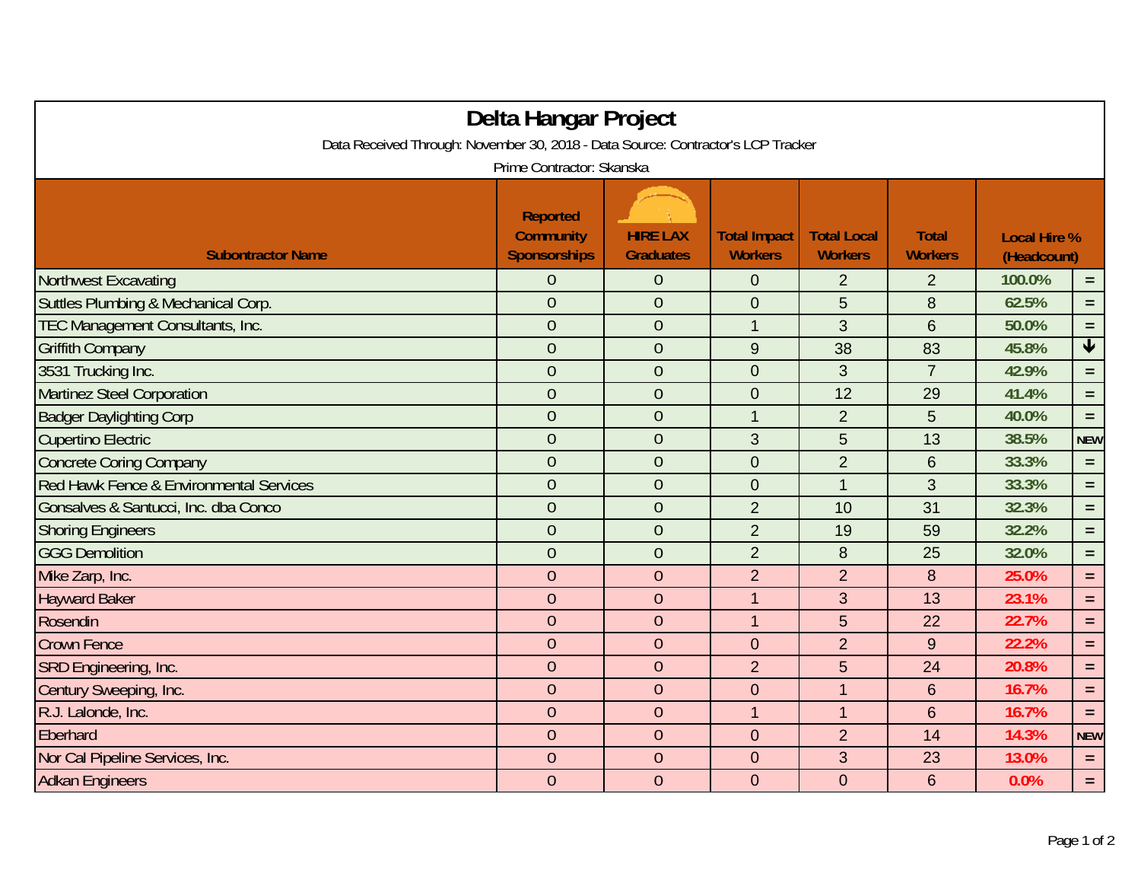|                                                                                                               | Delta Hangar Project                                       |                                     |                                       |                                      |                                |                                    |                 |  |  |  |  |
|---------------------------------------------------------------------------------------------------------------|------------------------------------------------------------|-------------------------------------|---------------------------------------|--------------------------------------|--------------------------------|------------------------------------|-----------------|--|--|--|--|
| Data Received Through: November 30, 2018 - Data Source: Contractor's LCP Tracker<br>Prime Contractor: Skanska |                                                            |                                     |                                       |                                      |                                |                                    |                 |  |  |  |  |
| <b>Subontractor Name</b>                                                                                      | <b>Reported</b><br><b>Community</b><br><b>Sponsorships</b> | <b>HIRE LAX</b><br><b>Graduates</b> | <b>Total Impact</b><br><b>Workers</b> | <b>Total Local</b><br><b>Workers</b> | <b>Total</b><br><b>Workers</b> | <b>Local Hire %</b><br>(Headcount) |                 |  |  |  |  |
| <b>Northwest Excavating</b>                                                                                   | $\boldsymbol{0}$                                           | $\boldsymbol{0}$                    | $\mathbf 0$                           | $\overline{2}$                       | $\overline{2}$                 | 100.0%                             | $=$             |  |  |  |  |
| Suttles Plumbing & Mechanical Corp.                                                                           | $\overline{0}$                                             | $\overline{0}$                      | $\boldsymbol{0}$                      | $\sqrt{5}$                           | 8                              | 62.5%                              | $\equiv$        |  |  |  |  |
| TEC Management Consultants, Inc.                                                                              | $\theta$                                                   | $\theta$                            | $\mathbf{1}$                          | 3                                    | 6                              | 50.0%                              | $\equiv$        |  |  |  |  |
| <b>Griffith Company</b>                                                                                       | $\overline{0}$                                             | $\overline{0}$                      | 9                                     | 38                                   | 83                             | 45.8%                              | $\blacklozenge$ |  |  |  |  |
| 3531 Trucking Inc.                                                                                            | $\overline{0}$                                             | $\overline{0}$                      | $\boldsymbol{0}$                      | 3                                    | $\overline{7}$                 | 42.9%                              | $=$             |  |  |  |  |
| Martinez Steel Corporation                                                                                    | $\overline{0}$                                             | $\overline{0}$                      | $\boldsymbol{0}$                      | 12                                   | 29                             | 41.4%                              | $=$ $\,$        |  |  |  |  |
| <b>Badger Daylighting Corp</b>                                                                                | $\overline{0}$                                             | $\theta$                            | $\mathbf{1}$                          | $\overline{2}$                       | 5                              | 40.0%                              | $\equiv$        |  |  |  |  |
| <b>Cupertino Electric</b>                                                                                     | $\theta$                                                   | $\theta$                            | 3                                     | 5                                    | 13                             | 38.5%                              | <b>NEW</b>      |  |  |  |  |
| <b>Concrete Coring Company</b>                                                                                | $\overline{0}$                                             | $\theta$                            | $\overline{0}$                        | $\overline{2}$                       | 6                              | 33.3%                              | $\equiv$        |  |  |  |  |
| Red Hawk Fence & Environmental Services                                                                       | $\overline{0}$                                             | $\overline{0}$                      | $\boldsymbol{0}$                      | $\mathbf{1}$                         | 3                              | 33.3%                              | $\equiv$        |  |  |  |  |
| Gonsalves & Santucci, Inc. dba Conco                                                                          | $\overline{0}$                                             | $\overline{0}$                      | $\overline{2}$                        | 10                                   | 31                             | 32.3%                              | $\equiv$        |  |  |  |  |
| <b>Shoring Engineers</b>                                                                                      | $\overline{0}$                                             | $\theta$                            | $\overline{2}$                        | 19                                   | 59                             | 32.2%                              | $=$             |  |  |  |  |
| <b>GGG Demolition</b>                                                                                         | $\overline{0}$                                             | $\overline{0}$                      | $\overline{2}$                        | 8                                    | 25                             | 32.0%                              | $=$             |  |  |  |  |
| Mike Zarp, Inc.                                                                                               | $\overline{0}$                                             | $\theta$                            | $\overline{2}$                        | $\overline{2}$                       | 8                              | 25.0%                              | $=$             |  |  |  |  |
| <b>Hayward Baker</b>                                                                                          | $\overline{0}$                                             | $\overline{0}$                      | $\overline{1}$                        | 3                                    | 13                             | 23.1%                              | $=$             |  |  |  |  |
| Rosendin                                                                                                      | $\theta$                                                   | $\theta$                            | $\mathbf{1}$                          | 5                                    | 22                             | 22.7%                              | $\equiv$        |  |  |  |  |
| <b>Crown Fence</b>                                                                                            | $\theta$                                                   | $\theta$                            | $\overline{0}$                        | $\overline{2}$                       | 9                              | 22.2%                              | $=$             |  |  |  |  |
| SRD Engineering, Inc.                                                                                         | $\overline{0}$                                             | $\theta$                            | $\overline{2}$                        | 5                                    | 24                             | 20.8%                              | $=$             |  |  |  |  |
| Century Sweeping, Inc.                                                                                        | $\overline{0}$                                             | $\overline{0}$                      | $\mathbf 0$                           | $\mathbf 1$                          | 6                              | 16.7%                              | $\equiv$        |  |  |  |  |
| R.J. Lalonde, Inc.                                                                                            | $\overline{0}$                                             | $\overline{0}$                      | $\overline{1}$                        | $\mathbf{1}$                         | 6                              | 16.7%                              | $=$             |  |  |  |  |
| Eberhard                                                                                                      | $\theta$                                                   | $\theta$                            | $\overline{0}$                        | $\overline{2}$                       | 14                             | 14.3%                              | <b>NEW</b>      |  |  |  |  |
| Nor Cal Pipeline Services, Inc.                                                                               | $\overline{0}$                                             | $\overline{0}$                      | $\mathbf{0}$                          | 3                                    | 23                             | 13.0%                              | $=$             |  |  |  |  |
| <b>Adkan Engineers</b>                                                                                        | $\overline{0}$                                             | $\overline{0}$                      | $\overline{0}$                        | $\overline{0}$                       | 6                              | 0.0%                               | $=$             |  |  |  |  |